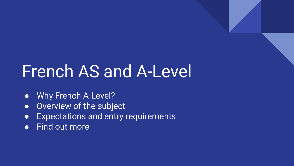# French AS and A-Level

- Why French A-Level?
- **•** Overview of the subject
- Expectations and entry requirements
- Find out more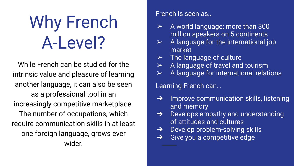# Why French A-Level?

While French can be studied for the intrinsic value and pleasure of learning another language, it can also be seen as a professional tool in an increasingly competitive marketplace. The number of occupations, which require communication skills in at least one foreign language, grows ever wider.

### French is seen as..

- $\triangleright$  A world language; more than 300 million speakers on 5 continents
- $\triangleright$  A language for the international job market
- $\triangleright$  The language of culture
- $\triangleright$  A language of travel and tourism
- $\triangleright$  A language for international relations

Learning French can…

- $\rightarrow$  Improve communication skills, listening and memory
- $\rightarrow$  Develops empathy and understanding of attitudes and cultures
- **→** Develop problem-solving skills
- $\rightarrow$  Give you a competitive edge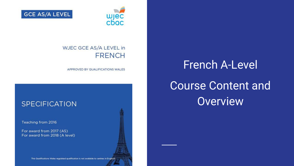

**GCE AS/A LEVEL** 

### WJEC GCE AS/A LEVEL in **FRENCH**

APPROVED BY QUALIFICATIONS WALES

### **SPECIFICATION**

Teaching from 2016

For award from 2017 (AS) For award from 2018 (A level)

This Qualifications Wales regulated qualification is not available to centres in England.

## **French A-Level Course Content and Overview**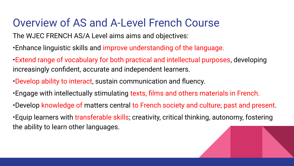### Overview of AS and A-Level French Course

The WJEC FRENCH AS/A Level aims aims and objectives:

- •Enhance linguistic skills and improve understanding of the language.
- •Extend range of vocabulary for both practical and intellectual purposes, developing increasingly confident, accurate and independent learners.
- •Develop ability to interact, sustain communication and fluency.
- •Engage with intellectually stimulating texts, films and others materials in French.
- •Develop knowledge of matters central to French society and culture; past and present. •Equip learners with transferable skills; creativity, critical thinking, autonomy, fostering the ability to learn other languages.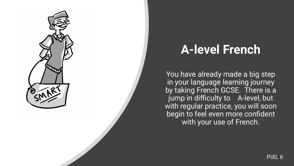

## **A-level French**

You have already made a big step in your language learning journey by taking French GCSE. There is a jump in difficulty to A-level, but with regular practice, you will soon begin to feel even more confident with your use of French.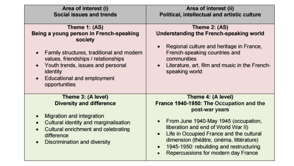| Area of interest (i)<br><b>Social issues and trends</b>                                                                                                                                                                                                               | Area of interest (ii)<br>Political, intellectual and artistic culture                                                                                                                                                                                                                                                                     |
|-----------------------------------------------------------------------------------------------------------------------------------------------------------------------------------------------------------------------------------------------------------------------|-------------------------------------------------------------------------------------------------------------------------------------------------------------------------------------------------------------------------------------------------------------------------------------------------------------------------------------------|
| Theme 1: (AS)<br>Being a young person in French-speaking<br>society<br>Family structures, traditional and modern<br>values, friendships / relationships<br>Youth trends, issues and personal<br><b>identity</b><br><b>Educational and employment</b><br>opportunities | Theme 2: (AS)<br><b>Understanding the French-speaking world</b><br>Regional culture and heritage in France,<br>French-speaking countries and<br>communities<br>Literature, art, film and music in the French-<br>speaking world                                                                                                           |
| Theme 3: (A level)<br><b>Diversity and difference</b><br><b>Migration and integration</b><br><b>Cultural identity and marginalisation</b><br>$\bullet$<br><b>Cultural enrichment and celebrating</b><br>difference<br><b>Discrimination and diversity</b>             | Theme 4: (A level)<br>France 1940-1950: The Occupation and the<br>post-war years<br>From June 1940-May 1945 (occupation,<br>liberation and end of World War II)<br>Life in Occupied France and the cultural<br>dimension (théâtre, cinéma, littérature)<br>1945-1950: rebuilding and restructuring<br>Repercussions for modern day France |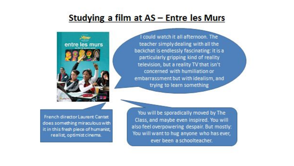### Studying a film at AS - Entre les Murs



I could watch it all afternoon. The teacher simply dealing with all the backchat is endlessly fascinating: it is a particularly gripping kind of reality television, but a reality TV that isn't concerned with humiliation or embarrassment but with idealism, and trying to learn something

French director Laurent Cantet does something miraculous with it in this fresh piece of humanist, realist, optimist cinema.

You will be sporadically moved by The Class, and maybe even inspired. You will also feel overpowering despair. But mostly: You will want to hug anyone who has ever, ever been a schoolteacher.